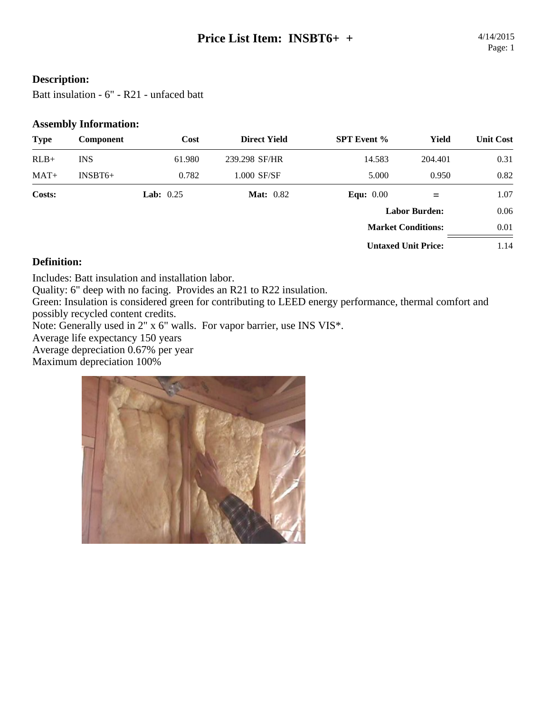### **Description:**

Batt insulation - 6" - R21 - unfaced batt

#### **Assembly Information:**

| <b>Type</b> | Component  | Cost               | <b>Direct Yield</b> | <b>SPT</b> Event %         | Yield   | <b>Unit Cost</b> |
|-------------|------------|--------------------|---------------------|----------------------------|---------|------------------|
| $RLB+$      | <b>INS</b> | 61.980             | 239.298 SF/HR       | 14.583                     | 204.401 | 0.31             |
| $MAT+$      | $INSBT6+$  | 0.782              | 1.000 SF/SF         | 5.000                      | 0.950   | 0.82             |
| Costs:      |            | <b>Lab:</b> $0.25$ | <b>Mat:</b> 0.82    | Equ: $0.00$                | $=$     | 1.07             |
|             |            |                    |                     | <b>Labor Burden:</b>       |         | 0.06             |
|             |            |                    |                     | <b>Market Conditions:</b>  |         | 0.01             |
|             |            |                    |                     | <b>Untaxed Unit Price:</b> |         | 1.14             |

#### **Definition:**

Includes: Batt insulation and installation labor.

Quality: 6" deep with no facing. Provides an R21 to R22 insulation.

Green: Insulation is considered green for contributing to LEED energy performance, thermal comfort and possibly recycled content credits.

Note: Generally used in 2" x 6" walls. For vapor barrier, use INS VIS\*.

Average life expectancy 150 years

Average depreciation 0.67% per year

Maximum depreciation 100%

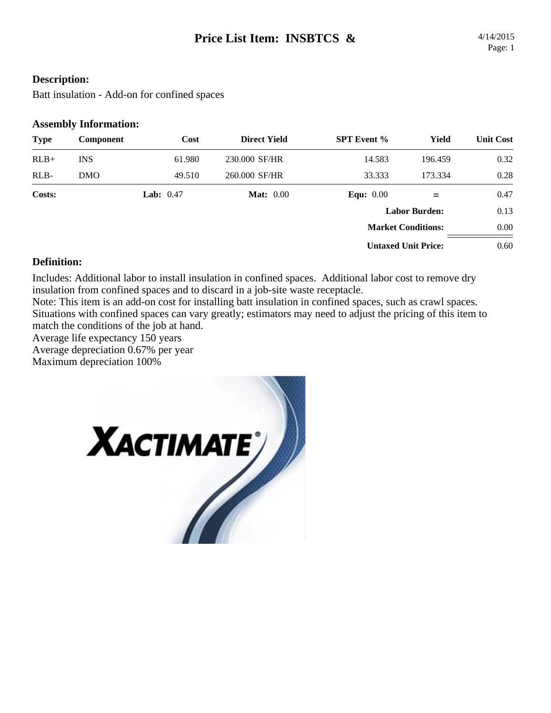#### **Description:**

Batt insulation - Add-on for confined spaces

#### **Assembly Information:**

| <b>Type</b> | Component  | Cost               | <b>Direct Yield</b> | <b>SPT</b> Event %         | Yield   | <b>Unit Cost</b> |
|-------------|------------|--------------------|---------------------|----------------------------|---------|------------------|
| $RLB+$      | <b>INS</b> | 61.980             | 230,000 SF/HR       | 14.583                     | 196.459 | 0.32             |
| RLB-        | <b>DMO</b> | 49.510             | 260.000 SF/HR       | 33.333                     | 173.334 | 0.28             |
| Costs:      |            | <b>Lab:</b> $0.47$ | <b>Mat:</b> 0.00    | Equ: $0.00$                |         | 0.47             |
|             |            |                    |                     | <b>Labor Burden:</b>       |         | 0.13             |
|             |            |                    |                     | <b>Market Conditions:</b>  |         | 0.00             |
|             |            |                    |                     | <b>Untaxed Unit Price:</b> |         | 0.60             |

#### **Definition:**

Includes: Additional labor to install insulation in confined spaces. Additional labor cost to remove dry insulation from confined spaces and to discard in a job-site waste receptacle.

Note: This item is an add-on cost for installing batt insulation in confined spaces, such as crawl spaces. Situations with confined spaces can vary greatly; estimators may need to adjust the pricing of this item to match the conditions of the job at hand.

Average life expectancy 150 years

Average depreciation 0.67% per year

Maximum depreciation 100%